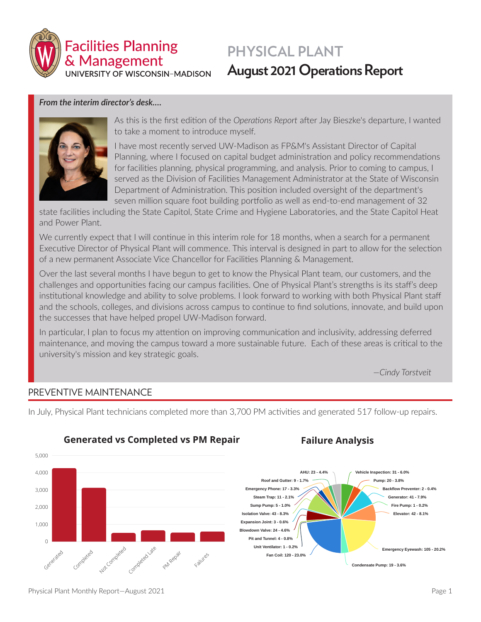

# **PHYSICAL PLANT August 2021 Operations Report**

### *From the interim director's desk…***.**



As this is the first edition of the *Operations Report* after Jay Bieszke's departure, I wanted to take a moment to introduce myself.

I have most recently served UW-Madison as FP&M's Assistant Director of Capital Planning, where I focused on capital budget administration and policy recommendations for facilities planning, physical programming, and analysis. Prior to coming to campus, I served as the Division of Facilities Management Administrator at the State of Wisconsin Department of Administration. This position included oversight of the department's seven million square foot building portfolio as well as end-to-end management of 32

state facilities including the State Capitol, State Crime and Hygiene Laboratories, and the State Capitol Heat and Power Plant.

We currently expect that I will continue in this interim role for 18 months, when a search for a permanent Executive Director of Physical Plant will commence. This interval is designed in part to allow for the selection of a new permanent Associate Vice Chancellor for Facilities Planning & Management.

Over the last several months I have begun to get to know the Physical Plant team, our customers, and the challenges and opportunities facing our campus facilities. One of Physical Plant's strengths is its staff's deep institutional knowledge and ability to solve problems. I look forward to working with both Physical Plant staff and the schools, colleges, and divisions across campus to continue to find solutions, innovate, and build upon the successes that have helped propel UW-Madison forward.

In particular, I plan to focus my attention on improving communication and inclusivity, addressing deferred maintenance, and moving the campus toward a more sustainable future. Each of these areas is critical to the university's mission and key strategic goals.

*—Cindy Torstveit*

#### **Generated Not Completed Completed on Time** PREVENTIVE MAINTENANCE

**4263 497 648 73% 3118 517 581** In July, Physical Plant technicians completed more than 3,700 PM activities and generated 517 follow-up repairs.

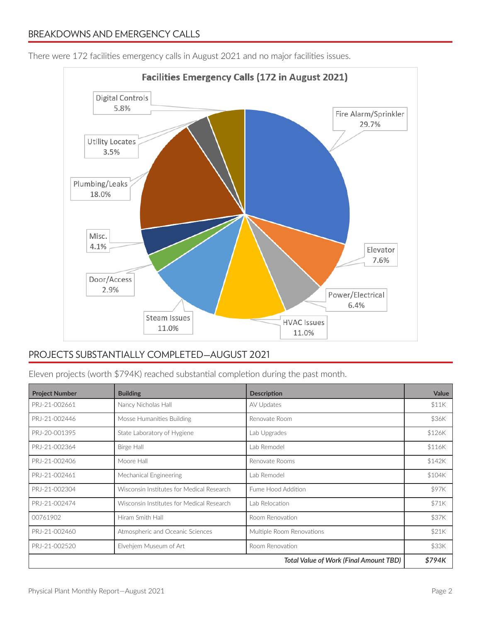

There were 172 facilities emergency calls in August 2021 and no major facilities issues.

### PROJECTS SUBSTANTIALLY COMPLETED—AUGUST 2021

Eleven projects (worth \$794K) reached substantial completion during the past month.

| <b>Project Number</b>                  | <b>Building</b>                           | <b>Description</b>        | Value  |
|----------------------------------------|-------------------------------------------|---------------------------|--------|
| PRJ-21-002661                          | Nancy Nicholas Hall                       | AV Updates                | \$11K  |
| PRJ-21-002446                          | Mosse Humanities Building                 | Renovate Room             | \$36K  |
| PRJ-20-001395                          | State Laboratory of Hygiene               | Lab Upgrades              | \$126K |
| PRJ-21-002364                          | Birge Hall                                | Lab Remodel               | \$116K |
| PRJ-21-002406                          | Moore Hall                                | Renovate Rooms            | \$142K |
| PRJ-21-002461                          | Mechanical Engineering                    | Lab Remodel               | \$104K |
| PRJ-21-002304                          | Wisconsin Institutes for Medical Research | Fume Hood Addition        | \$97K  |
| PRJ-21-002474                          | Wisconsin Institutes for Medical Research | Lab Relocation            | \$71K  |
| 00761902                               | Hiram Smith Hall                          | Room Renovation           | \$37K  |
| PRJ-21-002460                          | Atmospheric and Oceanic Sciences          | Multiple Room Renovations | \$21K  |
| PRJ-21-002520                          | Elvehjem Museum of Art                    | Room Renovation           | \$33K  |
| Total Value of Work (Final Amount TBD) |                                           |                           | \$794K |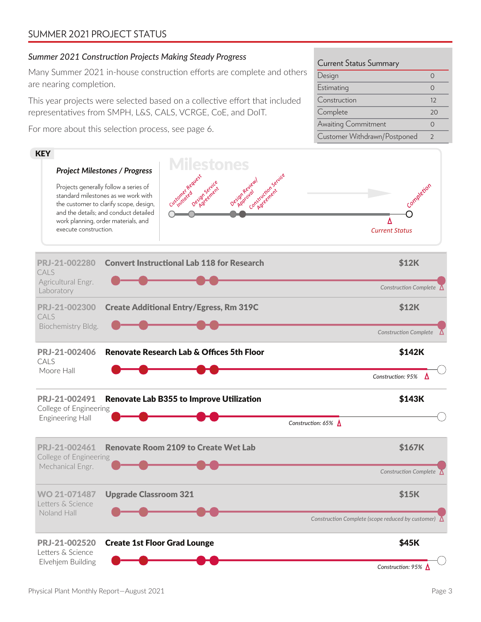## SUMMER 2021 PROJECT STATUS

### *Summer 2021 Construction Projects Making Steady Progress*

Many Summer 2021 in-house construction efforts are complete and others are nearing completion.

This year projects were selected based on a collective effort that included representatives from SMPH, L&S, CALS, VCRGE, CoE, and DoIT.

For more about this selection process, see page 6.



Awaiting Commitment 0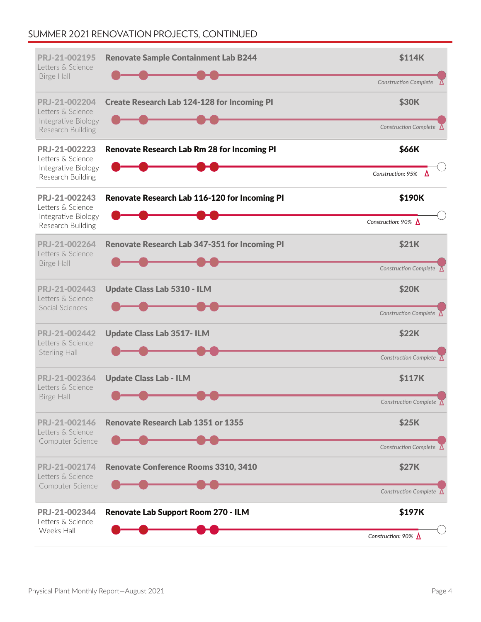# SUMMER 2021 RENOVATION PROJECTS, CONTINUED

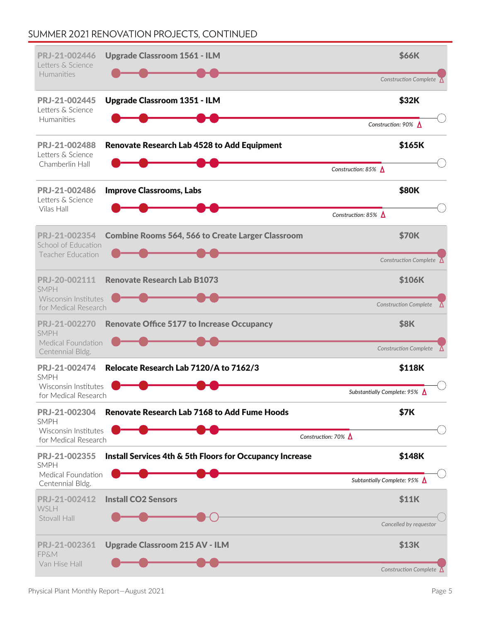# SUMMER 2021 RENOVATION PROJECTS, CONTINUED